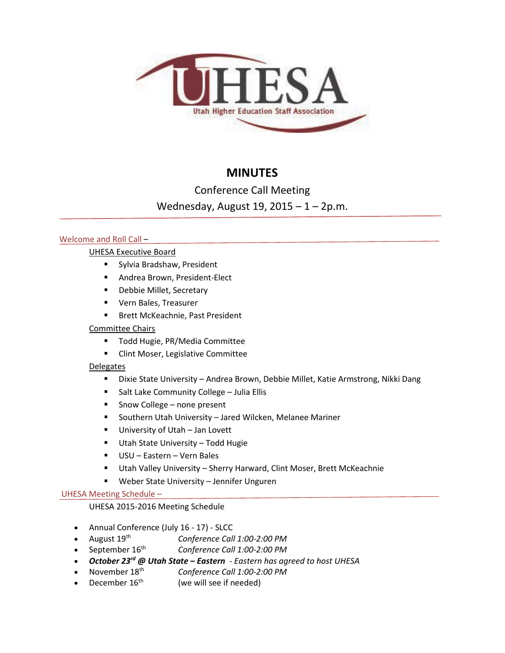

# **MINUTES**

Conference Call Meeting

Wednesday, August 19, 2015 – 1 – 2p.m.

# Welcome and Roll Call -

# UHESA Executive Board

- **Sylvia Bradshaw, President**
- **Andrea Brown, President-Elect**
- **-** Debbie Millet, Secretary
- **UPILA** Vern Bales, Treasurer
- **Brett McKeachnie, Past President**

# Committee Chairs

- **Todd Hugie, PR/Media Committee**
- **EXECLINT Clint Moser, Legislative Committee**

# **Delegates**

- Dixie State University Andrea Brown, Debbie Millet, Katie Armstrong, Nikki Dang
- **Salt Lake Community College Julia Ellis**
- Snow College none present
- Southern Utah University Jared Wilcken, Melanee Mariner
- **University of Utah Jan Lovett**
- **Utah State University Todd Hugie**
- USU Eastern Vern Bales
- Utah Valley University Sherry Harward, Clint Moser, Brett McKeachnie
- Weber State University Jennifer Unguren

## UHESA Meeting Schedule –

# UHESA 2015-2016 Meeting Schedule

- Annual Conference (July 16 17) SLCC
- August 19th *Conference Call 1:00-2:00 PM*
- September 16th *Conference Call 1:00-2:00 PM*
- *October 23rd @ Utah State – Eastern - Eastern has agreed to host UHESA*
- November 18th *Conference Call 1:00-2:00 PM*
- December  $16<sup>th</sup>$  (we will see if needed)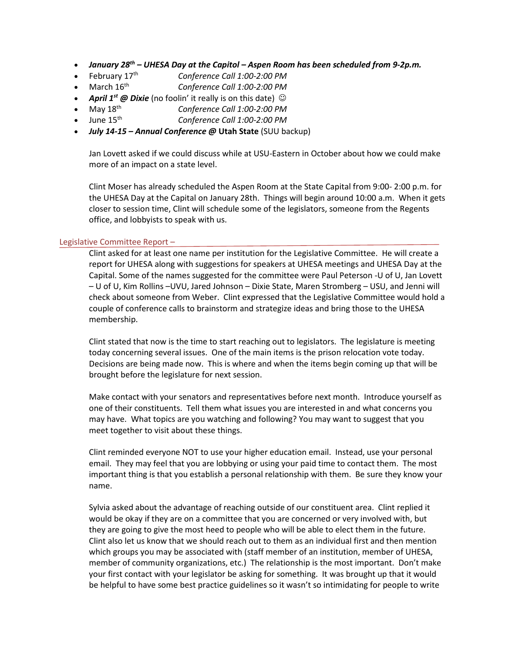- *January 28th – UHESA Day at the Capitol – Aspen Room has been scheduled from 9-2p.m.*
- February 17th *Conference Call 1:00-2:00 PM*
- March 16th *Conference Call 1:00-2:00 PM*
- *April 1<sup>st</sup> @ Dixie* (no foolin' it really is on this date)  $\odot$
- May 18th *Conference Call 1:00-2:00 PM*
- June 15th *Conference Call 1:00-2:00 PM*
- *July 14-15 – Annual Conference @* **Utah State** (SUU backup)

Jan Lovett asked if we could discuss while at USU-Eastern in October about how we could make more of an impact on a state level.

Clint Moser has already scheduled the Aspen Room at the State Capital from 9:00- 2:00 p.m. for the UHESA Day at the Capital on January 28th. Things will begin around 10:00 a.m. When it gets closer to session time, Clint will schedule some of the legislators, someone from the Regents office, and lobbyists to speak with us.

## Legislative Committee Report –

Clint asked for at least one name per institution for the Legislative Committee. He will create a report for UHESA along with suggestions for speakers at UHESA meetings and UHESA Day at the Capital. Some of the names suggested for the committee were Paul Peterson -U of U, Jan Lovett – U of U, Kim Rollins –UVU, Jared Johnson – Dixie State, Maren Stromberg – USU, and Jenni will check about someone from Weber. Clint expressed that the Legislative Committee would hold a couple of conference calls to brainstorm and strategize ideas and bring those to the UHESA membership.

Clint stated that now is the time to start reaching out to legislators. The legislature is meeting today concerning several issues. One of the main items is the prison relocation vote today. Decisions are being made now. This is where and when the items begin coming up that will be brought before the legislature for next session.

Make contact with your senators and representatives before next month. Introduce yourself as one of their constituents. Tell them what issues you are interested in and what concerns you may have. What topics are you watching and following? You may want to suggest that you meet together to visit about these things.

Clint reminded everyone NOT to use your higher education email. Instead, use your personal email. They may feel that you are lobbying or using your paid time to contact them. The most important thing is that you establish a personal relationship with them. Be sure they know your name.

Sylvia asked about the advantage of reaching outside of our constituent area. Clint replied it would be okay if they are on a committee that you are concerned or very involved with, but they are going to give the most heed to people who will be able to elect them in the future. Clint also let us know that we should reach out to them as an individual first and then mention which groups you may be associated with (staff member of an institution, member of UHESA, member of community organizations, etc.) The relationship is the most important. Don't make your first contact with your legislator be asking for something. It was brought up that it would be helpful to have some best practice guidelines so it wasn't so intimidating for people to write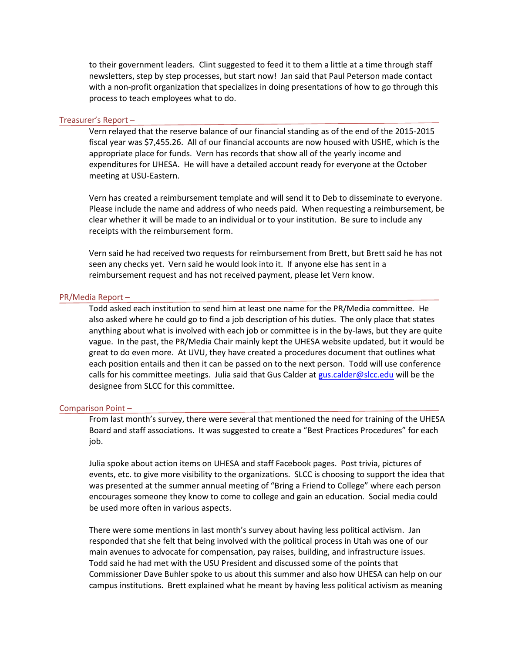to their government leaders. Clint suggested to feed it to them a little at a time through staff newsletters, step by step processes, but start now! Jan said that Paul Peterson made contact with a non-profit organization that specializes in doing presentations of how to go through this process to teach employees what to do.

#### Treasurer's Report –

Vern relayed that the reserve balance of our financial standing as of the end of the 2015-2015 fiscal year was \$7,455.26. All of our financial accounts are now housed with USHE, which is the appropriate place for funds. Vern has records that show all of the yearly income and expenditures for UHESA. He will have a detailed account ready for everyone at the October meeting at USU-Eastern.

Vern has created a reimbursement template and will send it to Deb to disseminate to everyone. Please include the name and address of who needs paid. When requesting a reimbursement, be clear whether it will be made to an individual or to your institution. Be sure to include any receipts with the reimbursement form.

Vern said he had received two requests for reimbursement from Brett, but Brett said he has not seen any checks yet. Vern said he would look into it. If anyone else has sent in a reimbursement request and has not received payment, please let Vern know.

#### PR/Media Report –

Todd asked each institution to send him at least one name for the PR/Media committee. He also asked where he could go to find a job description of his duties. The only place that states anything about what is involved with each job or committee is in the by-laws, but they are quite vague. In the past, the PR/Media Chair mainly kept the UHESA website updated, but it would be great to do even more. At UVU, they have created a procedures document that outlines what each position entails and then it can be passed on to the next person. Todd will use conference calls for his committee meetings. Julia said that Gus Calder at [gus.calder@slcc.edu](mailto:gus.calder@slcc.edu) will be the designee from SLCC for this committee.

#### Comparison Point –

From last month's survey, there were several that mentioned the need for training of the UHESA Board and staff associations. It was suggested to create a "Best Practices Procedures" for each job.

Julia spoke about action items on UHESA and staff Facebook pages. Post trivia, pictures of events, etc. to give more visibility to the organizations. SLCC is choosing to support the idea that was presented at the summer annual meeting of "Bring a Friend to College" where each person encourages someone they know to come to college and gain an education. Social media could be used more often in various aspects.

There were some mentions in last month's survey about having less political activism. Jan responded that she felt that being involved with the political process in Utah was one of our main avenues to advocate for compensation, pay raises, building, and infrastructure issues. Todd said he had met with the USU President and discussed some of the points that Commissioner Dave Buhler spoke to us about this summer and also how UHESA can help on our campus institutions. Brett explained what he meant by having less political activism as meaning